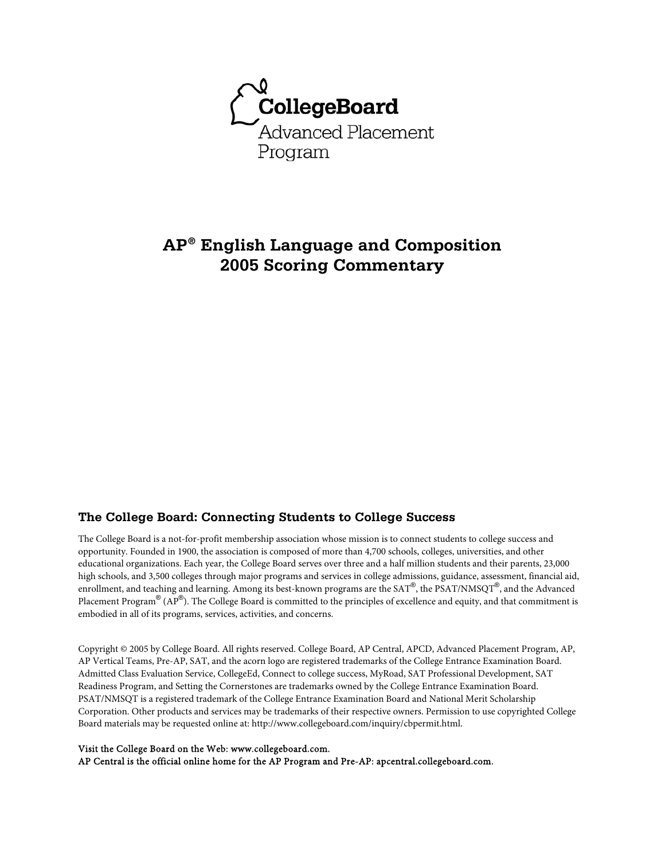

# **AP® English Language and Composition 2005 Scoring Commentary**

## **The College Board: Connecting Students to College Success**

The College Board is a not-for-profit membership association whose mission is to connect students to college success and opportunity. Founded in 1900, the association is composed of more than 4,700 schools, colleges, universities, and other educational organizations. Each year, the College Board serves over three and a half million students and their parents, 23,000 high schools, and 3,500 colleges through major programs and services in college admissions, guidance, assessment, financial aid, enrollment, and teaching and learning. Among its best-known programs are the SAT®, the PSAT/NMSQT®, and the Advanced Placement Program $^\circledR$  (AP $^\circledR$ ). The College Board is committed to the principles of excellence and equity, and that commitment is embodied in all of its programs, services, activities, and concerns.

Copyright © 2005 by College Board. All rights reserved. College Board, AP Central, APCD, Advanced Placement Program, AP, AP Vertical Teams, Pre-AP, SAT, and the acorn logo are registered trademarks of the College Entrance Examination Board. Admitted Class Evaluation Service, CollegeEd, Connect to college success, MyRoad, SAT Professional Development, SAT Readiness Program, and Setting the Cornerstones are trademarks owned by the College Entrance Examination Board. PSAT/NMSQT is a registered trademark of the College Entrance Examination Board and National Merit Scholarship Corporation. Other products and services may be trademarks of their respective owners. Permission to use copyrighted College Board materials may be requested online at: http://www.collegeboard.com/inquiry/cbpermit.html.

#### Visit the College Board on the Web: www.collegeboard.com.

AP Central is the official online home for the AP Program and Pre-AP: apcentral.collegeboard.com.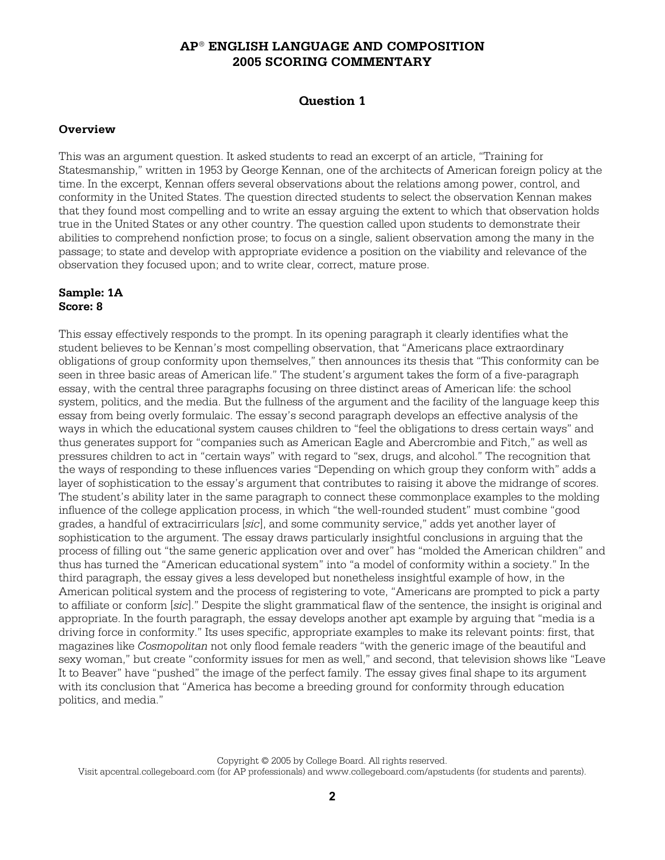## **Question 1**

#### **Overview**

This was an argument question. It asked students to read an excerpt of an article, "Training for Statesmanship," written in 1953 by George Kennan, one of the architects of American foreign policy at the time. In the excerpt, Kennan offers several observations about the relations among power, control, and conformity in the United States. The question directed students to select the observation Kennan makes that they found most compelling and to write an essay arguing the extent to which that observation holds true in the United States or any other country. The question called upon students to demonstrate their abilities to comprehend nonfiction prose; to focus on a single, salient observation among the many in the passage; to state and develop with appropriate evidence a position on the viability and relevance of the observation they focused upon; and to write clear, correct, mature prose.

#### **Sample: 1A Score: 8**

This essay effectively responds to the prompt. In its opening paragraph it clearly identifies what the student believes to be Kennan's most compelling observation, that "Americans place extraordinary obligations of group conformity upon themselves," then announces its thesis that "This conformity can be seen in three basic areas of American life." The student's argument takes the form of a five-paragraph essay, with the central three paragraphs focusing on three distinct areas of American life: the school system, politics, and the media. But the fullness of the argument and the facility of the language keep this essay from being overly formulaic. The essay's second paragraph develops an effective analysis of the ways in which the educational system causes children to "feel the obligations to dress certain ways" and thus generates support for "companies such as American Eagle and Abercrombie and Fitch," as well as pressures children to act in "certain ways" with regard to "sex, drugs, and alcohol." The recognition that the ways of responding to these influences varies "Depending on which group they conform with" adds a layer of sophistication to the essay's argument that contributes to raising it above the midrange of scores. The student's ability later in the same paragraph to connect these commonplace examples to the molding influence of the college application process, in which "the well-rounded student" must combine "good grades, a handful of extracirriculars [*sic*], and some community service," adds yet another layer of sophistication to the argument. The essay draws particularly insightful conclusions in arguing that the process of filling out "the same generic application over and over" has "molded the American children" and thus has turned the "American educational system" into "a model of conformity within a society." In the third paragraph, the essay gives a less developed but nonetheless insightful example of how, in the American political system and the process of registering to vote, "Americans are prompted to pick a party to affiliate or conform [*sic*]." Despite the slight grammatical flaw of the sentence, the insight is original and appropriate. In the fourth paragraph, the essay develops another apt example by arguing that "media is a driving force in conformity." Its uses specific, appropriate examples to make its relevant points: first, that magazines like *Cosmopolitan* not only flood female readers "with the generic image of the beautiful and sexy woman," but create "conformity issues for men as well," and second, that television shows like "Leave It to Beaver" have "pushed" the image of the perfect family. The essay gives final shape to its argument with its conclusion that "America has become a breeding ground for conformity through education politics, and media."

Copyright © 2005 by College Board. All rights reserved. Visit apcentral.collegeboard.com (for AP professionals) and www.collegeboard.com/apstudents (for students and parents).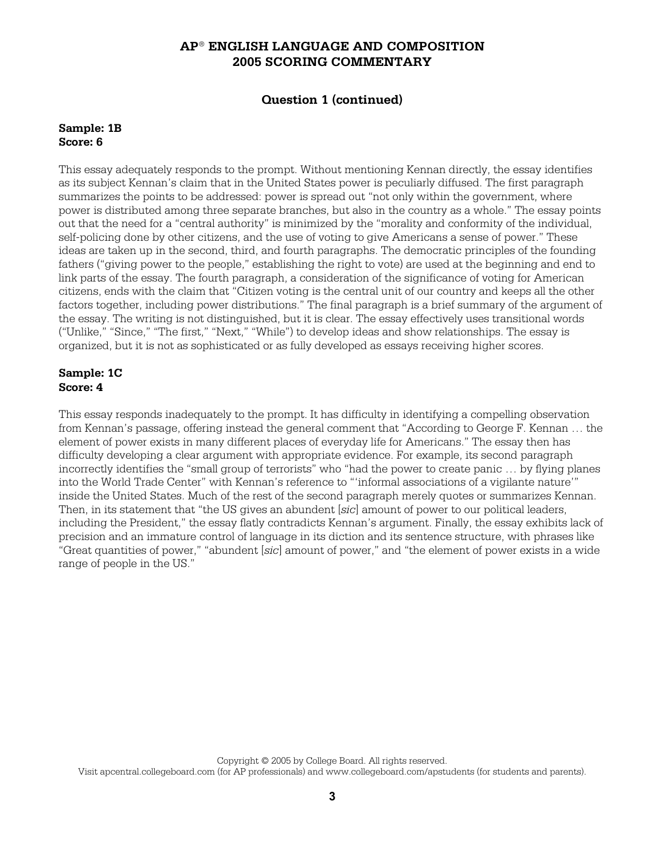## **Question 1 (continued)**

#### **Sample: 1B Score: 6**

This essay adequately responds to the prompt. Without mentioning Kennan directly, the essay identifies as its subject Kennan's claim that in the United States power is peculiarly diffused. The first paragraph summarizes the points to be addressed: power is spread out "not only within the government, where power is distributed among three separate branches, but also in the country as a whole." The essay points out that the need for a "central authority" is minimized by the "morality and conformity of the individual, self-policing done by other citizens, and the use of voting to give Americans a sense of power." These ideas are taken up in the second, third, and fourth paragraphs. The democratic principles of the founding fathers ("giving power to the people," establishing the right to vote) are used at the beginning and end to link parts of the essay. The fourth paragraph, a consideration of the significance of voting for American citizens, ends with the claim that "Citizen voting is the central unit of our country and keeps all the other factors together, including power distributions." The final paragraph is a brief summary of the argument of the essay. The writing is not distinguished, but it is clear. The essay effectively uses transitional words ("Unlike," "Since," "The first," "Next," "While") to develop ideas and show relationships. The essay is organized, but it is not as sophisticated or as fully developed as essays receiving higher scores.

### **Sample: 1C Score: 4**

This essay responds inadequately to the prompt. It has difficulty in identifying a compelling observation from Kennan's passage, offering instead the general comment that "According to George F. Kennan … the element of power exists in many different places of everyday life for Americans." The essay then has difficulty developing a clear argument with appropriate evidence. For example, its second paragraph incorrectly identifies the "small group of terrorists" who "had the power to create panic … by flying planes into the World Trade Center" with Kennan's reference to "'informal associations of a vigilante nature'" inside the United States. Much of the rest of the second paragraph merely quotes or summarizes Kennan. Then, in its statement that "the US gives an abundent [*sic*] amount of power to our political leaders, including the President," the essay flatly contradicts Kennan's argument. Finally, the essay exhibits lack of precision and an immature control of language in its diction and its sentence structure, with phrases like "Great quantities of power," "abundent [*sic*] amount of power," and "the element of power exists in a wide range of people in the US."

Copyright © 2005 by College Board. All rights reserved.

Visit apcentral.collegeboard.com (for AP professionals) and www.collegeboard.com/apstudents (for students and parents).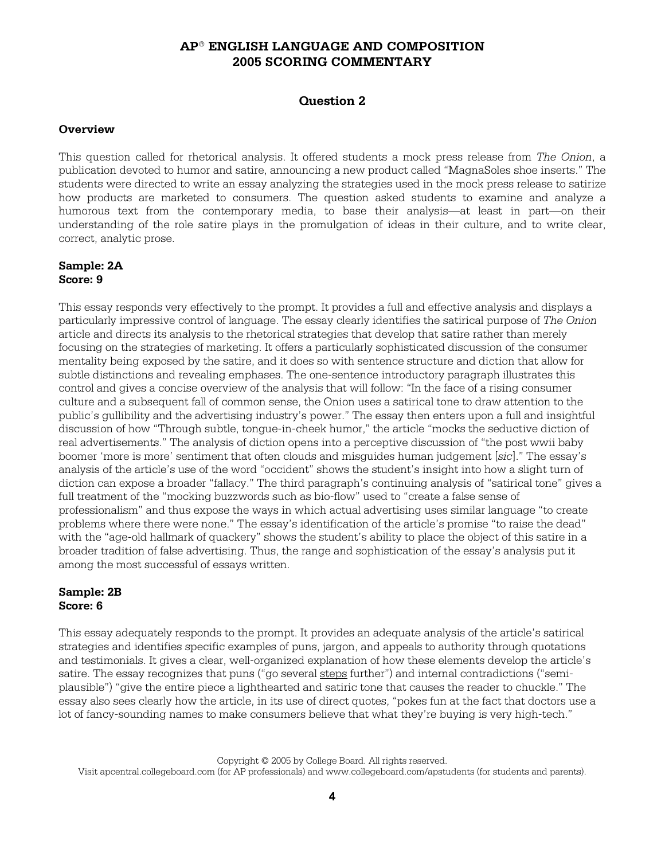## **Question 2**

#### **Overview**

This question called for rhetorical analysis. It offered students a mock press release from *The Onion*, a publication devoted to humor and satire, announcing a new product called "MagnaSoles shoe inserts." The students were directed to write an essay analyzing the strategies used in the mock press release to satirize how products are marketed to consumers. The question asked students to examine and analyze a humorous text from the contemporary media, to base their analysis—at least in part—on their understanding of the role satire plays in the promulgation of ideas in their culture, and to write clear, correct, analytic prose.

#### **Sample: 2A Score: 9**

This essay responds very effectively to the prompt. It provides a full and effective analysis and displays a particularly impressive control of language. The essay clearly identifies the satirical purpose of *The Onion* article and directs its analysis to the rhetorical strategies that develop that satire rather than merely focusing on the strategies of marketing. It offers a particularly sophisticated discussion of the consumer mentality being exposed by the satire, and it does so with sentence structure and diction that allow for subtle distinctions and revealing emphases. The one-sentence introductory paragraph illustrates this control and gives a concise overview of the analysis that will follow: "In the face of a rising consumer culture and a subsequent fall of common sense, the Onion uses a satirical tone to draw attention to the public's gullibility and the advertising industry's power." The essay then enters upon a full and insightful discussion of how "Through subtle, tongue-in-cheek humor," the article "mocks the seductive diction of real advertisements." The analysis of diction opens into a perceptive discussion of "the post wwii baby boomer 'more is more' sentiment that often clouds and misguides human judgement [*sic*]." The essay's analysis of the article's use of the word "occident" shows the student's insight into how a slight turn of diction can expose a broader "fallacy." The third paragraph's continuing analysis of "satirical tone" gives a full treatment of the "mocking buzzwords such as bio-flow" used to "create a false sense of professionalism" and thus expose the ways in which actual advertising uses similar language "to create problems where there were none." The essay's identification of the article's promise "to raise the dead" with the "age-old hallmark of quackery" shows the student's ability to place the object of this satire in a broader tradition of false advertising. Thus, the range and sophistication of the essay's analysis put it among the most successful of essays written.

### **Sample: 2B Score: 6**

This essay adequately responds to the prompt. It provides an adequate analysis of the article's satirical strategies and identifies specific examples of puns, jargon, and appeals to authority through quotations and testimonials. It gives a clear, well-organized explanation of how these elements develop the article's satire. The essay recognizes that puns ("go several steps further") and internal contradictions ("semiplausible") "give the entire piece a lighthearted and satiric tone that causes the reader to chuckle." The essay also sees clearly how the article, in its use of direct quotes, "pokes fun at the fact that doctors use a lot of fancy-sounding names to make consumers believe that what they're buying is very high-tech."

Copyright © 2005 by College Board. All rights reserved. Visit apcentral.collegeboard.com (for AP professionals) and www.collegeboard.com/apstudents (for students and parents).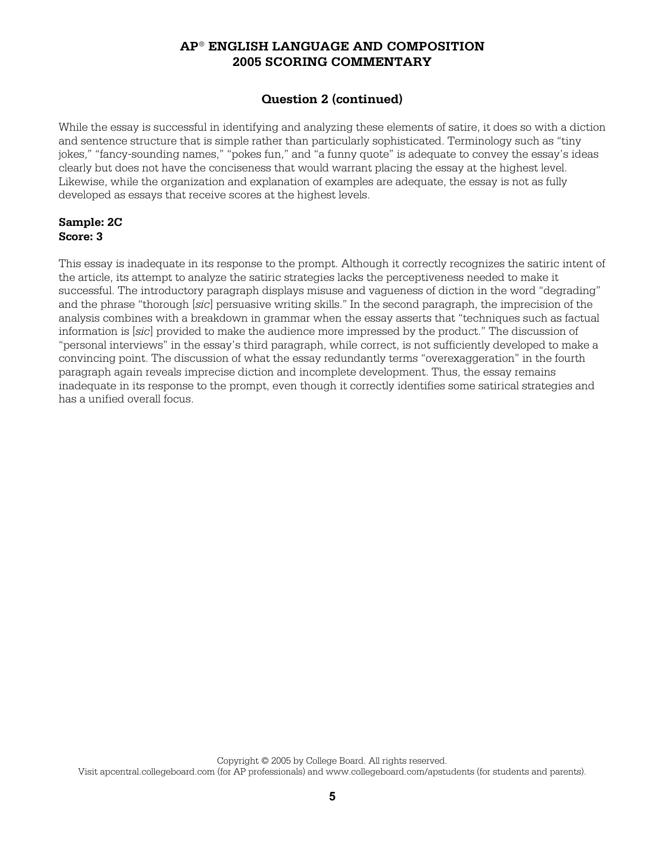## **Question 2 (continued)**

While the essay is successful in identifying and analyzing these elements of satire, it does so with a diction and sentence structure that is simple rather than particularly sophisticated. Terminology such as "tiny jokes," "fancy-sounding names," "pokes fun," and "a funny quote" is adequate to convey the essay's ideas clearly but does not have the conciseness that would warrant placing the essay at the highest level. Likewise, while the organization and explanation of examples are adequate, the essay is not as fully developed as essays that receive scores at the highest levels.

### **Sample: 2C Score: 3**

This essay is inadequate in its response to the prompt. Although it correctly recognizes the satiric intent of the article, its attempt to analyze the satiric strategies lacks the perceptiveness needed to make it successful. The introductory paragraph displays misuse and vagueness of diction in the word "degrading" and the phrase "thorough [*sic*] persuasive writing skills." In the second paragraph, the imprecision of the analysis combines with a breakdown in grammar when the essay asserts that "techniques such as factual information is [*sic*] provided to make the audience more impressed by the product." The discussion of "personal interviews" in the essay's third paragraph, while correct, is not sufficiently developed to make a convincing point. The discussion of what the essay redundantly terms "overexaggeration" in the fourth paragraph again reveals imprecise diction and incomplete development. Thus, the essay remains inadequate in its response to the prompt, even though it correctly identifies some satirical strategies and has a unified overall focus.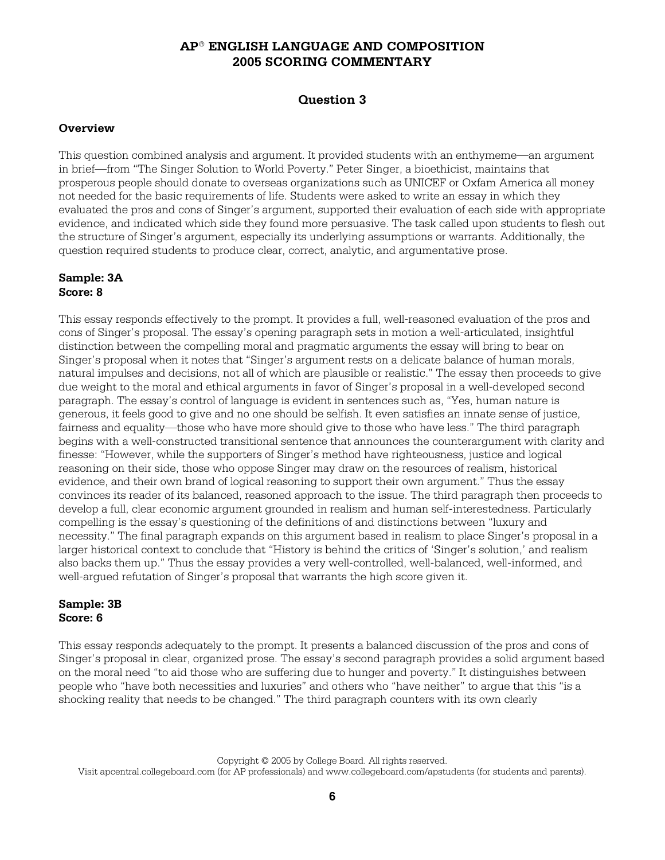## **Question 3**

## **Overview**

This question combined analysis and argument. It provided students with an enthymeme—an argument in brief—from "The Singer Solution to World Poverty." Peter Singer, a bioethicist, maintains that prosperous people should donate to overseas organizations such as UNICEF or Oxfam America all money not needed for the basic requirements of life. Students were asked to write an essay in which they evaluated the pros and cons of Singer's argument, supported their evaluation of each side with appropriate evidence, and indicated which side they found more persuasive. The task called upon students to flesh out the structure of Singer's argument, especially its underlying assumptions or warrants. Additionally, the question required students to produce clear, correct, analytic, and argumentative prose.

### **Sample: 3A Score: 8**

This essay responds effectively to the prompt. It provides a full, well-reasoned evaluation of the pros and cons of Singer's proposal. The essay's opening paragraph sets in motion a well-articulated, insightful distinction between the compelling moral and pragmatic arguments the essay will bring to bear on Singer's proposal when it notes that "Singer's argument rests on a delicate balance of human morals, natural impulses and decisions, not all of which are plausible or realistic." The essay then proceeds to give due weight to the moral and ethical arguments in favor of Singer's proposal in a well-developed second paragraph. The essay's control of language is evident in sentences such as, "Yes, human nature is generous, it feels good to give and no one should be selfish. It even satisfies an innate sense of justice, fairness and equality—those who have more should give to those who have less." The third paragraph begins with a well-constructed transitional sentence that announces the counterargument with clarity and finesse: "However, while the supporters of Singer's method have righteousness, justice and logical reasoning on their side, those who oppose Singer may draw on the resources of realism, historical evidence, and their own brand of logical reasoning to support their own argument." Thus the essay convinces its reader of its balanced, reasoned approach to the issue. The third paragraph then proceeds to develop a full, clear economic argument grounded in realism and human self-interestedness. Particularly compelling is the essay's questioning of the definitions of and distinctions between "luxury and necessity." The final paragraph expands on this argument based in realism to place Singer's proposal in a larger historical context to conclude that "History is behind the critics of 'Singer's solution,' and realism also backs them up." Thus the essay provides a very well-controlled, well-balanced, well-informed, and well-argued refutation of Singer's proposal that warrants the high score given it.

### **Sample: 3B Score: 6**

This essay responds adequately to the prompt. It presents a balanced discussion of the pros and cons of Singer's proposal in clear, organized prose. The essay's second paragraph provides a solid argument based on the moral need "to aid those who are suffering due to hunger and poverty." It distinguishes between people who "have both necessities and luxuries" and others who "have neither" to argue that this "is a shocking reality that needs to be changed." The third paragraph counters with its own clearly

Copyright © 2005 by College Board. All rights reserved. Visit apcentral.collegeboard.com (for AP professionals) and www.collegeboard.com/apstudents (for students and parents).